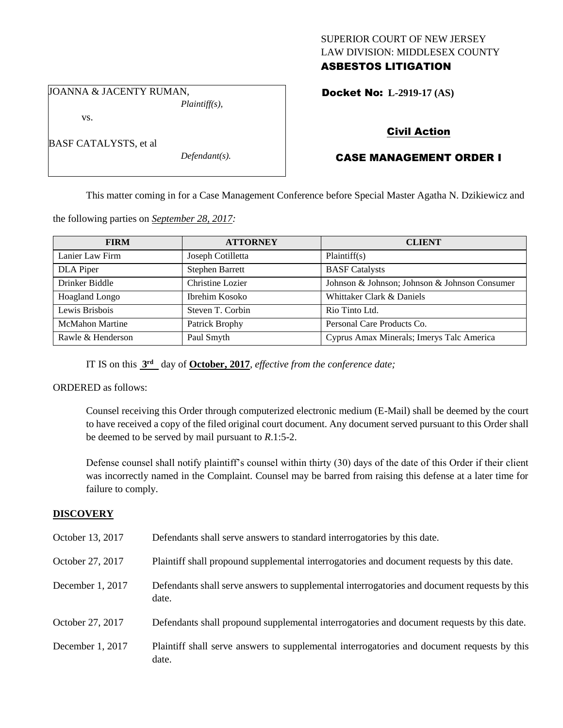# SUPERIOR COURT OF NEW JERSEY LAW DIVISION: MIDDLESEX COUNTY ASBESTOS LITIGATION

JOANNA & JACENTY RUMAN, *Plaintiff(s),*

vs.

BASF CATALYSTS, et al

*Defendant(s).*

Docket No: **L-2919-17 (AS)** 

# Civil Action

# CASE MANAGEMENT ORDER I

This matter coming in for a Case Management Conference before Special Master Agatha N. Dzikiewicz and

the following parties on *September 28, 2017:*

| <b>FIRM</b>            | <b>ATTORNEY</b>        | <b>CLIENT</b>                                 |
|------------------------|------------------------|-----------------------------------------------|
| Lanier Law Firm        | Joseph Cotilletta      | Plaintiff(s)                                  |
| DLA Piper              | <b>Stephen Barrett</b> | <b>BASF</b> Catalysts                         |
| Drinker Biddle         | Christine Lozier       | Johnson & Johnson; Johnson & Johnson Consumer |
| Hoagland Longo         | Ibrehim Kosoko         | Whittaker Clark & Daniels                     |
| Lewis Brisbois         | Steven T. Corbin       | Rio Tinto Ltd.                                |
| <b>McMahon Martine</b> | Patrick Brophy         | Personal Care Products Co.                    |
| Rawle & Henderson      | Paul Smyth             | Cyprus Amax Minerals; Imerys Talc America     |

IT IS on this  $3<sup>rd</sup>$  day of **October, 2017**, *effective from the conference date*;

ORDERED as follows:

Counsel receiving this Order through computerized electronic medium (E-Mail) shall be deemed by the court to have received a copy of the filed original court document. Any document served pursuant to this Order shall be deemed to be served by mail pursuant to *R*.1:5-2.

Defense counsel shall notify plaintiff's counsel within thirty (30) days of the date of this Order if their client was incorrectly named in the Complaint. Counsel may be barred from raising this defense at a later time for failure to comply.

# **DISCOVERY**

| October 13, 2017 | Defendants shall serve answers to standard interrogatories by this date.                              |
|------------------|-------------------------------------------------------------------------------------------------------|
| October 27, 2017 | Plaintiff shall propound supplemental interrogatories and document requests by this date.             |
| December 1, 2017 | Defendants shall serve answers to supplemental interrogatories and document requests by this<br>date. |
| October 27, 2017 | Defendants shall propound supplemental interrogatories and document requests by this date.            |
| December 1, 2017 | Plaintiff shall serve answers to supplemental interrogatories and document requests by this<br>date.  |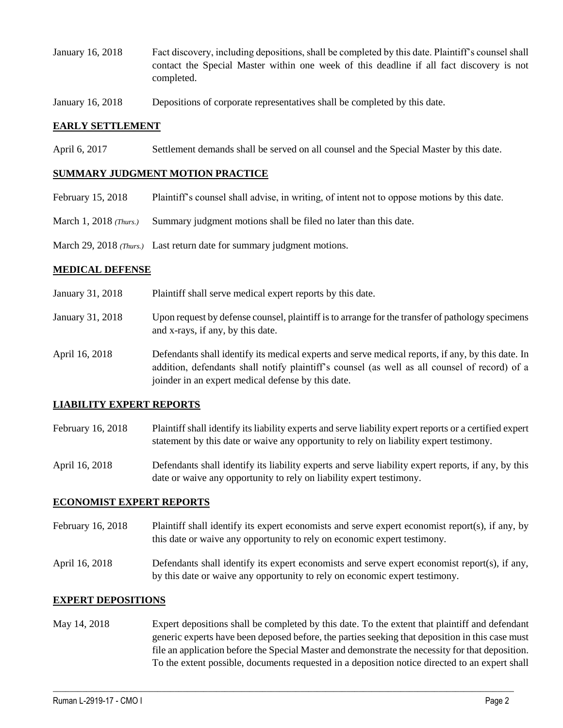- January 16, 2018 Fact discovery, including depositions, shall be completed by this date. Plaintiff's counsel shall contact the Special Master within one week of this deadline if all fact discovery is not completed.
- January 16, 2018 Depositions of corporate representatives shall be completed by this date.

### **EARLY SETTLEMENT**

April 6, 2017 Settlement demands shall be served on all counsel and the Special Master by this date.

#### **SUMMARY JUDGMENT MOTION PRACTICE**

- February 15, 2018 Plaintiff's counsel shall advise, in writing, of intent not to oppose motions by this date.
- March 1, 2018 *(Thurs.)* Summary judgment motions shall be filed no later than this date.
- March 29, 2018 *(Thurs.)* Last return date for summary judgment motions.

### **MEDICAL DEFENSE**

- January 31, 2018 Plaintiff shall serve medical expert reports by this date.
- January 31, 2018 Upon request by defense counsel, plaintiff is to arrange for the transfer of pathology specimens and x-rays, if any, by this date.
- April 16, 2018 Defendants shall identify its medical experts and serve medical reports, if any, by this date. In addition, defendants shall notify plaintiff's counsel (as well as all counsel of record) of a joinder in an expert medical defense by this date.

# **LIABILITY EXPERT REPORTS**

- February 16, 2018 Plaintiff shall identify its liability experts and serve liability expert reports or a certified expert statement by this date or waive any opportunity to rely on liability expert testimony.
- April 16, 2018 Defendants shall identify its liability experts and serve liability expert reports, if any, by this date or waive any opportunity to rely on liability expert testimony.

#### **ECONOMIST EXPERT REPORTS**

- February 16, 2018 Plaintiff shall identify its expert economists and serve expert economist report(s), if any, by this date or waive any opportunity to rely on economic expert testimony.
- April 16, 2018 Defendants shall identify its expert economists and serve expert economist report(s), if any, by this date or waive any opportunity to rely on economic expert testimony.

#### **EXPERT DEPOSITIONS**

May 14, 2018 Expert depositions shall be completed by this date. To the extent that plaintiff and defendant generic experts have been deposed before, the parties seeking that deposition in this case must file an application before the Special Master and demonstrate the necessity for that deposition. To the extent possible, documents requested in a deposition notice directed to an expert shall

 $\_$  ,  $\_$  ,  $\_$  ,  $\_$  ,  $\_$  ,  $\_$  ,  $\_$  ,  $\_$  ,  $\_$  ,  $\_$  ,  $\_$  ,  $\_$  ,  $\_$  ,  $\_$  ,  $\_$  ,  $\_$  ,  $\_$  ,  $\_$  ,  $\_$  ,  $\_$  ,  $\_$  ,  $\_$  ,  $\_$  ,  $\_$  ,  $\_$  ,  $\_$  ,  $\_$  ,  $\_$  ,  $\_$  ,  $\_$  ,  $\_$  ,  $\_$  ,  $\_$  ,  $\_$  ,  $\_$  ,  $\_$  ,  $\_$  ,